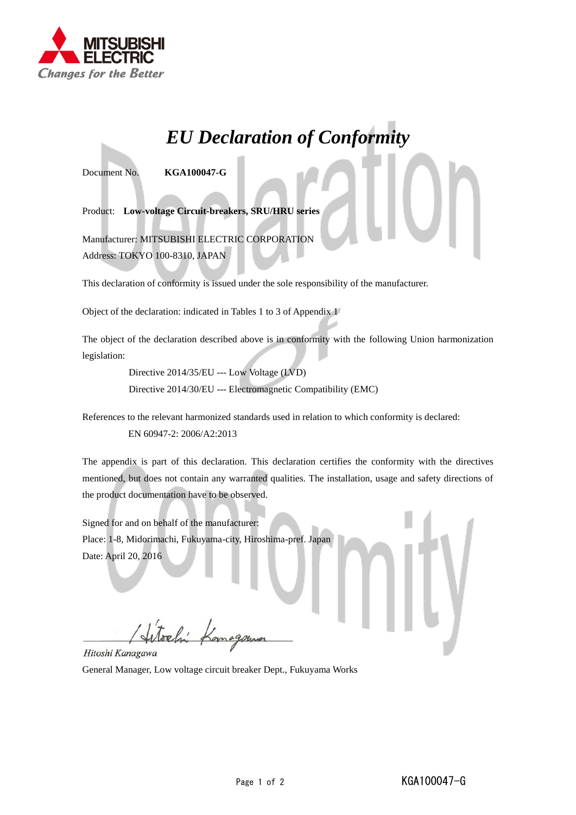

## *EU Declaration of Conformity*

Document No. **KGA100047-G**

Product: **Low-voltage Circuit-breakers, SRU/HRU series**

Manufacturer: MITSUBISHI ELECTRIC CORPORATION Address: TOKYO 100-8310, JAPAN

This declaration of conformity is issued under the sole responsibility of the manufacturer.

Object of the declaration: indicated in Tables 1 to 3 of Appendix 1

The object of the declaration described above is in conformity with the following Union harmonization legislation:

> Directive 2014/35/EU --- Low Voltage (LVD) Directive 2014/30/EU --- Electromagnetic Compatibility (EMC)

References to the relevant harmonized standards used in relation to which conformity is declared:

EN 60947-2: 2006/A2:2013

The appendix is part of this declaration. This declaration certifies the conformity with the directives mentioned, but does not contain any warranted qualities. The installation, usage and safety directions of the product documentation have to be observed.

Signed for and on behalf of the manufacturer: Place: 1-8, Midorimachi, Fukuyama-city, Hiroshima-pref. Japan Date: April 20, 2016

Hitoshi Kanagawa

General Manager, Low voltage circuit breaker Dept., Fukuyama Works